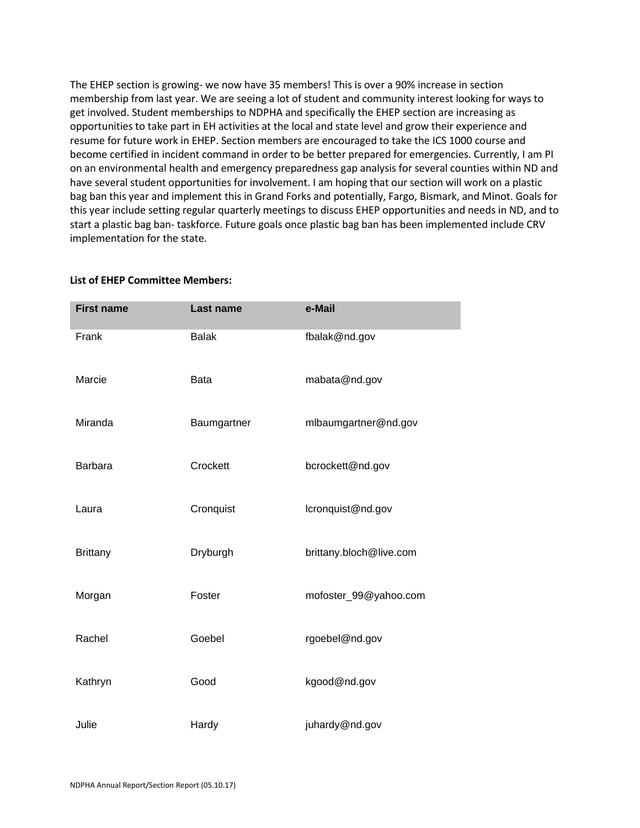The EHEP section is growing- we now have 35 members! This is over a 90% increase in section membership from last year. We are seeing a lot of student and community interest looking for ways to get involved. Student memberships to NDPHA and specifically the EHEP section are increasing as opportunities to take part in EH activities at the local and state level and grow their experience and resume for future work in EHEP. Section members are encouraged to take the ICS 1000 course and become certified in incident command in order to be better prepared for emergencies. Currently, I am PI on an environmental health and emergency preparedness gap analysis for several counties within ND and have several student opportunities for involvement. I am hoping that our section will work on a plastic bag ban this year and implement this in Grand Forks and potentially, Fargo, Bismark, and Minot. Goals for this year include setting regular quarterly meetings to discuss EHEP opportunities and needs in ND, and to start a plastic bag ban- taskforce. Future goals once plastic bag ban has been implemented include CRV implementation for the state.

| <b>First name</b> | Last name    | e-Mail                  |
|-------------------|--------------|-------------------------|
| Frank             | <b>Balak</b> | fbalak@nd.gov           |
| Marcie            | <b>Bata</b>  | mabata@nd.gov           |
| Miranda           | Baumgartner  | mlbaumgartner@nd.gov    |
| <b>Barbara</b>    | Crockett     | bcrockett@nd.gov        |
| Laura             | Cronquist    | lcronquist@nd.gov       |
| <b>Brittany</b>   | Dryburgh     | brittany.bloch@live.com |
| Morgan            | Foster       | mofoster_99@yahoo.com   |
| Rachel            | Goebel       | rgoebel@nd.gov          |
| Kathryn           | Good         | kgood@nd.gov            |
| Julie             | Hardy        | juhardy@nd.gov          |

## **List of EHEP Committee Members:**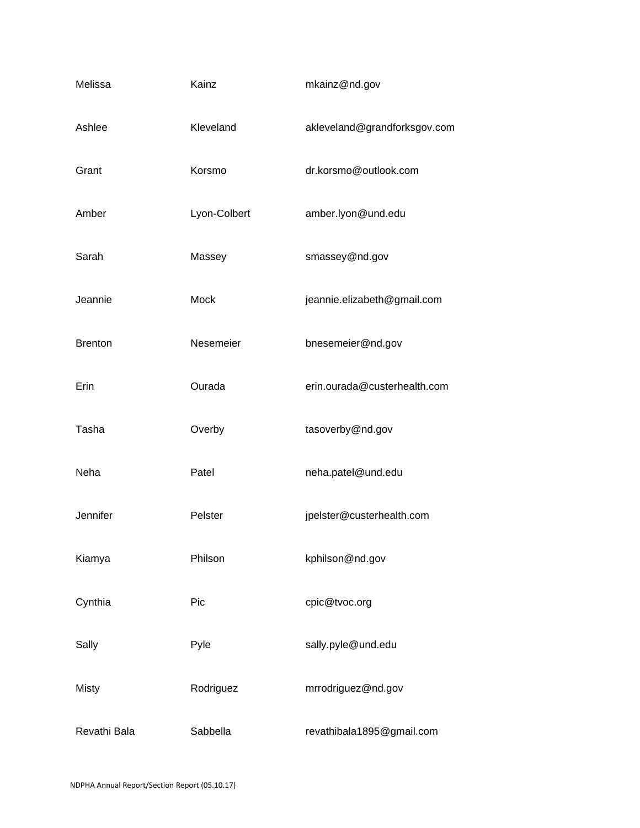| Melissa        | Kainz        | mkainz@nd.gov                |
|----------------|--------------|------------------------------|
| Ashlee         | Kleveland    | akleveland@grandforksgov.com |
| Grant          | Korsmo       | dr.korsmo@outlook.com        |
| Amber          | Lyon-Colbert | amber.lyon@und.edu           |
| Sarah          | Massey       | smassey@nd.gov               |
| Jeannie        | Mock         | jeannie.elizabeth@gmail.com  |
| <b>Brenton</b> | Nesemeier    | bnesemeier@nd.gov            |
| Erin           | Ourada       | erin.ourada@custerhealth.com |
| Tasha          | Overby       | tasoverby@nd.gov             |
| Neha           | Patel        | neha.patel@und.edu           |
| Jennifer       | Pelster      | jpelster@custerhealth.com    |
| Kiamya         | Philson      | kphilson@nd.gov              |
| Cynthia        | Pic          | cpic@tvoc.org                |
| Sally          | Pyle         | sally.pyle@und.edu           |
| <b>Misty</b>   | Rodriguez    | mrrodriguez@nd.gov           |
| Revathi Bala   | Sabbella     | revathibala1895@gmail.com    |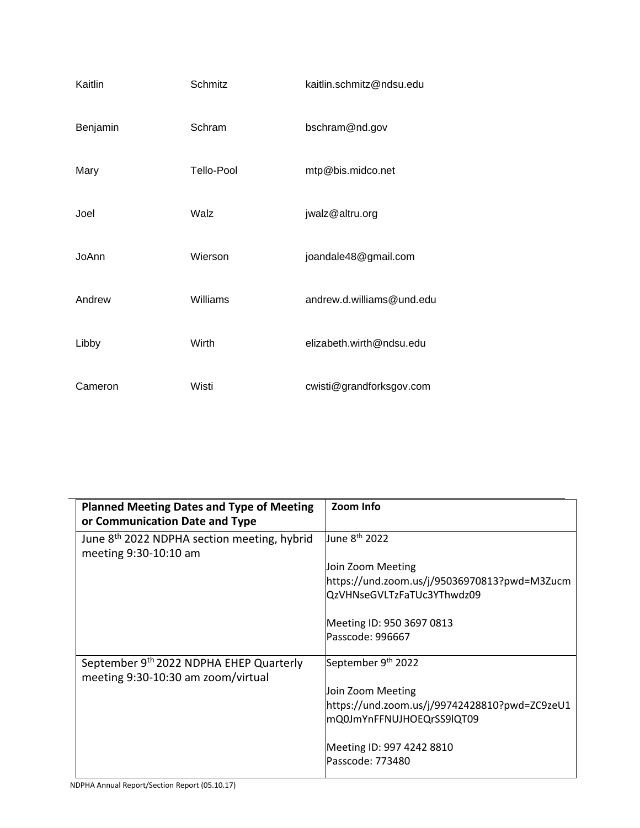| Kaitlin  | Schmitz           | kaitlin.schmitz@ndsu.edu  |
|----------|-------------------|---------------------------|
| Benjamin | Schram            | bschram@nd.gov            |
| Mary     | <b>Tello-Pool</b> | mtp@bis.midco.net         |
| Joel     | Walz              | jwalz@altru.org           |
| JoAnn    | Wierson           | joandale48@gmail.com      |
| Andrew   | Williams          | andrew.d.williams@und.edu |
| Libby    | Wirth             | elizabeth.wirth@ndsu.edu  |
| Cameron  | Wisti             | cwisti@grandforksgov.com  |

| <b>Planned Meeting Dates and Type of Meeting</b><br>or Communication Date and Type | Zoom Info                                     |
|------------------------------------------------------------------------------------|-----------------------------------------------|
| June 8 <sup>th</sup> 2022 NDPHA section meeting, hybrid<br>meeting 9:30-10:10 am   | June 8 <sup>th</sup> 2022                     |
|                                                                                    | Join Zoom Meeting                             |
|                                                                                    | https://und.zoom.us/j/95036970813?pwd=M3Zucm  |
|                                                                                    | QzVHNseGVLTzFaTUc3YThwdz09                    |
|                                                                                    | Meeting ID: 950 3697 0813                     |
|                                                                                    | Passcode: 996667                              |
| September 9th 2022 NDPHA EHEP Quarterly<br>meeting 9:30-10:30 am zoom/virtual      | September 9th 2022                            |
|                                                                                    | Join Zoom Meeting                             |
|                                                                                    | https://und.zoom.us/j/99742428810?pwd=ZC9zeU1 |
|                                                                                    | mQ0JmYnFFNUJHOEQrSS9lQT09                     |
|                                                                                    | Meeting ID: 997 4242 8810                     |
|                                                                                    | Passcode: 773480                              |